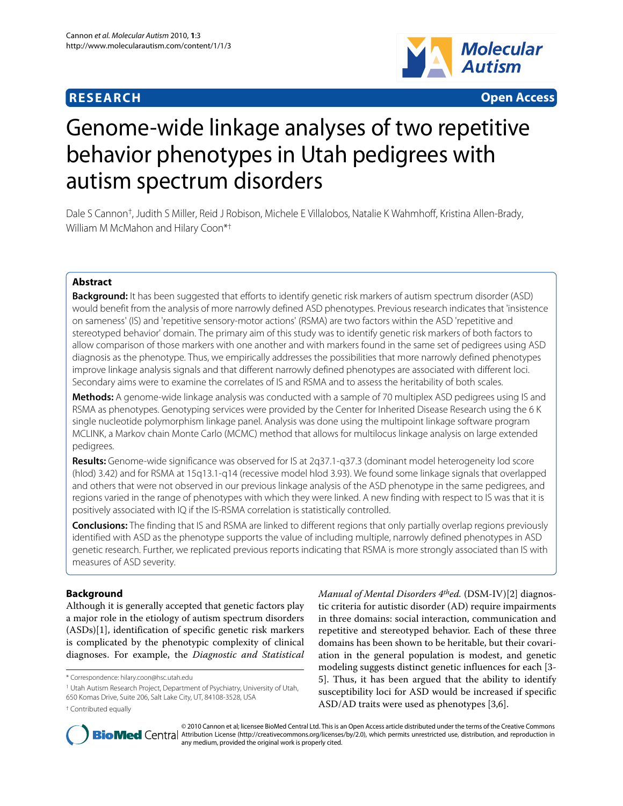# **RESEARCH Open Access**



# Genome-wide linkage analyses of two repetitive behavior phenotypes in Utah pedigrees with autism spectrum disorders

Dale S Cannon†, Judith S Miller, Reid J Robison, Michele E Villalobos, Natalie K Wahmhoff, Kristina Allen-Brady, William M McMahon and Hilary Coon\*†

# **Abstract**

**Background:** It has been suggested that efforts to identify genetic risk markers of autism spectrum disorder (ASD) would benefit from the analysis of more narrowly defined ASD phenotypes. Previous research indicates that 'insistence on sameness' (IS) and 'repetitive sensory-motor actions' (RSMA) are two factors within the ASD 'repetitive and stereotyped behavior' domain. The primary aim of this study was to identify genetic risk markers of both factors to allow comparison of those markers with one another and with markers found in the same set of pedigrees using ASD diagnosis as the phenotype. Thus, we empirically addresses the possibilities that more narrowly defined phenotypes improve linkage analysis signals and that different narrowly defined phenotypes are associated with different loci. Secondary aims were to examine the correlates of IS and RSMA and to assess the heritability of both scales.

**Methods:** A genome-wide linkage analysis was conducted with a sample of 70 multiplex ASD pedigrees using IS and RSMA as phenotypes. Genotyping services were provided by the Center for Inherited Disease Research using the 6 K single nucleotide polymorphism linkage panel. Analysis was done using the multipoint linkage software program MCLINK, a Markov chain Monte Carlo (MCMC) method that allows for multilocus linkage analysis on large extended pedigrees.

**Results:** Genome-wide significance was observed for IS at 2q37.1-q37.3 (dominant model heterogeneity lod score (hlod) 3.42) and for RSMA at 15q13.1-q14 (recessive model hlod 3.93). We found some linkage signals that overlapped and others that were not observed in our previous linkage analysis of the ASD phenotype in the same pedigrees, and regions varied in the range of phenotypes with which they were linked. A new finding with respect to IS was that it is positively associated with IQ if the IS-RSMA correlation is statistically controlled.

**Conclusions:** The finding that IS and RSMA are linked to different regions that only partially overlap regions previously identified with ASD as the phenotype supports the value of including multiple, narrowly defined phenotypes in ASD genetic research. Further, we replicated previous reports indicating that RSMA is more strongly associated than IS with measures of ASD severity.

# **Background**

Although it is generally accepted that genetic factors play a major role in the etiology of autism spectrum disorders (ASDs)[[1\]](#page-10-0), identification of specific genetic risk markers is complicated by the phenotypic complexity of clinical diagnoses. For example, the *Diagnostic and Statistical*

1 Utah Autism Research Project, Department of Psychiatry, University of Utah, 650 Komas Drive, Suite 206, Salt Lake City, UT, 84108-3528, USA

† Contributed equally

*Manual of Mental Disorders 4<sup>th</sup>ed.* (DSM-IV)[\[2](#page-10-1)] diagnostic criteria for autistic disorder (AD) require impairments in three domains: social interaction, communication and repetitive and stereotyped behavior. Each of these three domains has been shown to be heritable, but their covariation in the general population is modest, and genetic modeling suggests distinct genetic influences for each [\[3](#page-10-2)- [5\]](#page-10-3). Thus, it has been argued that the ability to identify susceptibility loci for ASD would be increased if specific ASD/AD traits were used as phenotypes [[3,](#page-10-2)[6\]](#page-10-4).



© 2010 Cannon et al; licensee BioMed Central Ltd. This is an Open Access article distributed under the terms of the Creative Commons **Bio Med Centra** Attribution License (http://creativecommons.org/licenses/by/2.0), which permits unrestricted use, distribution, and reproduction in any medium, provided the original work is properly cited.

<sup>\*</sup> Correspondence: hilary.coon@hsc.utah.edu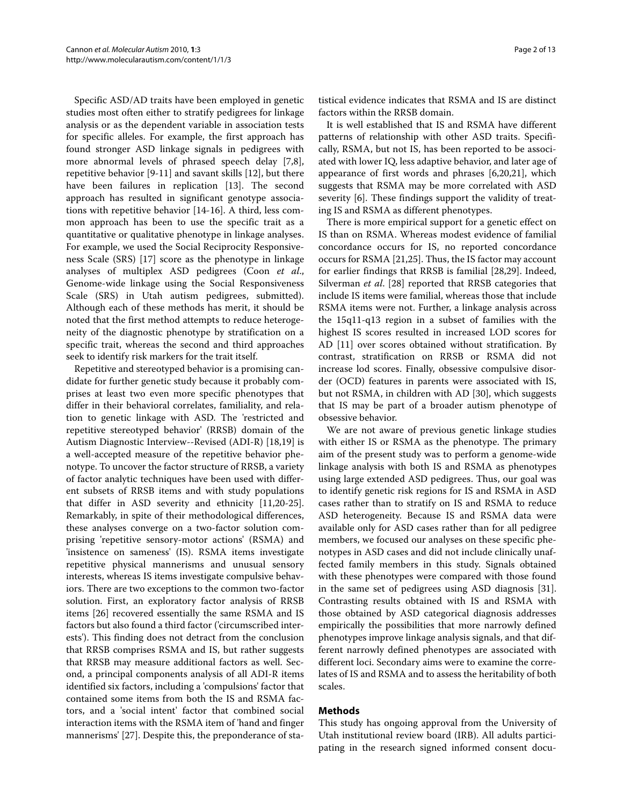Specific ASD/AD traits have been employed in genetic studies most often either to stratify pedigrees for linkage analysis or as the dependent variable in association tests for specific alleles. For example, the first approach has found stronger ASD linkage signals in pedigrees with more abnormal levels of phrased speech delay [\[7](#page-10-5),[8](#page-10-6)], repetitive behavior [[9-](#page-10-7)[11\]](#page-11-0) and savant skills [[12\]](#page-11-1), but there have been failures in replication [\[13](#page-11-2)]. The second approach has resulted in significant genotype associations with repetitive behavior [[14](#page-11-3)[-16](#page-11-4)]. A third, less common approach has been to use the specific trait as a quantitative or qualitative phenotype in linkage analyses. For example, we used the Social Reciprocity Responsiveness Scale (SRS) [\[17](#page-11-5)] score as the phenotype in linkage analyses of multiplex ASD pedigrees (Coon *et al*., Genome-wide linkage using the Social Responsiveness Scale (SRS) in Utah autism pedigrees, submitted). Although each of these methods has merit, it should be noted that the first method attempts to reduce heterogeneity of the diagnostic phenotype by stratification on a specific trait, whereas the second and third approaches seek to identify risk markers for the trait itself.

Repetitive and stereotyped behavior is a promising candidate for further genetic study because it probably comprises at least two even more specific phenotypes that differ in their behavioral correlates, familiality, and relation to genetic linkage with ASD. The 'restricted and repetitive stereotyped behavior' (RRSB) domain of the Autism Diagnostic Interview--Revised (ADI-R) [[18](#page-11-6),[19\]](#page-11-7) is a well-accepted measure of the repetitive behavior phenotype. To uncover the factor structure of RRSB, a variety of factor analytic techniques have been used with different subsets of RRSB items and with study populations that differ in ASD severity and ethnicity [\[11](#page-11-0)[,20](#page-11-8)-[25](#page-11-9)]. Remarkably, in spite of their methodological differences, these analyses converge on a two-factor solution comprising 'repetitive sensory-motor actions' (RSMA) and 'insistence on sameness' (IS). RSMA items investigate repetitive physical mannerisms and unusual sensory interests, whereas IS items investigate compulsive behaviors. There are two exceptions to the common two-factor solution. First, an exploratory factor analysis of RRSB items [\[26\]](#page-11-10) recovered essentially the same RSMA and IS factors but also found a third factor ('circumscribed interests'). This finding does not detract from the conclusion that RRSB comprises RSMA and IS, but rather suggests that RRSB may measure additional factors as well. Second, a principal components analysis of all ADI-R items identified six factors, including a 'compulsions' factor that contained some items from both the IS and RSMA factors, and a 'social intent' factor that combined social interaction items with the RSMA item of 'hand and finger mannerisms' [[27](#page-11-11)]. Despite this, the preponderance of statistical evidence indicates that RSMA and IS are distinct factors within the RRSB domain.

It is well established that IS and RSMA have different patterns of relationship with other ASD traits. Specifically, RSMA, but not IS, has been reported to be associated with lower IQ, less adaptive behavior, and later age of appearance of first words and phrases [[6,](#page-10-4)[20,](#page-11-8)[21\]](#page-11-12), which suggests that RSMA may be more correlated with ASD severity [\[6\]](#page-10-4). These findings support the validity of treating IS and RSMA as different phenotypes.

There is more empirical support for a genetic effect on IS than on RSMA. Whereas modest evidence of familial concordance occurs for IS, no reported concordance occurs for RSMA [[21,](#page-11-12)[25\]](#page-11-9). Thus, the IS factor may account for earlier findings that RRSB is familial [[28,](#page-11-13)[29\]](#page-11-14). Indeed, Silverman *et al*. [[28\]](#page-11-13) reported that RRSB categories that include IS items were familial, whereas those that include RSMA items were not. Further, a linkage analysis across the 15q11-q13 region in a subset of families with the highest IS scores resulted in increased LOD scores for AD [\[11](#page-11-0)] over scores obtained without stratification. By contrast, stratification on RRSB or RSMA did not increase lod scores. Finally, obsessive compulsive disorder (OCD) features in parents were associated with IS, but not RSMA, in children with AD [[30](#page-11-15)], which suggests that IS may be part of a broader autism phenotype of obsessive behavior.

We are not aware of previous genetic linkage studies with either IS or RSMA as the phenotype. The primary aim of the present study was to perform a genome-wide linkage analysis with both IS and RSMA as phenotypes using large extended ASD pedigrees. Thus, our goal was to identify genetic risk regions for IS and RSMA in ASD cases rather than to stratify on IS and RSMA to reduce ASD heterogeneity. Because IS and RSMA data were available only for ASD cases rather than for all pedigree members, we focused our analyses on these specific phenotypes in ASD cases and did not include clinically unaffected family members in this study. Signals obtained with these phenotypes were compared with those found in the same set of pedigrees using ASD diagnosis [[31\]](#page-11-16). Contrasting results obtained with IS and RSMA with those obtained by ASD categorical diagnosis addresses empirically the possibilities that more narrowly defined phenotypes improve linkage analysis signals, and that different narrowly defined phenotypes are associated with different loci. Secondary aims were to examine the correlates of IS and RSMA and to assess the heritability of both scales.

# **Methods**

This study has ongoing approval from the University of Utah institutional review board (IRB). All adults participating in the research signed informed consent docu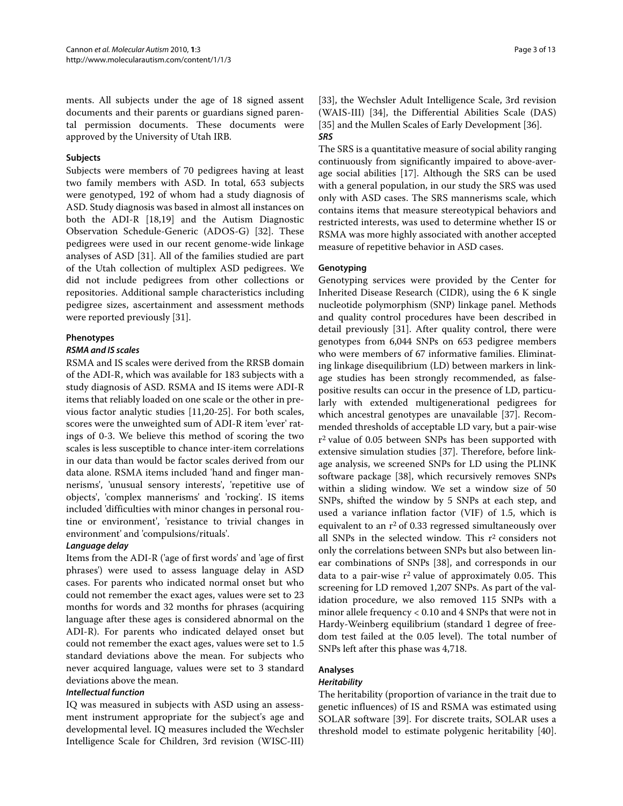ments. All subjects under the age of 18 signed assent documents and their parents or guardians signed parental permission documents. These documents were approved by the University of Utah IRB.

#### **Subjects**

Subjects were members of 70 pedigrees having at least two family members with ASD. In total, 653 subjects were genotyped, 192 of whom had a study diagnosis of ASD. Study diagnosis was based in almost all instances on both the ADI-R [\[18](#page-11-6)[,19](#page-11-7)] and the Autism Diagnostic Observation Schedule-Generic (ADOS-G) [[32](#page-11-17)]. These pedigrees were used in our recent genome-wide linkage analyses of ASD [\[31\]](#page-11-16). All of the families studied are part of the Utah collection of multiplex ASD pedigrees. We did not include pedigrees from other collections or repositories. Additional sample characteristics including pedigree sizes, ascertainment and assessment methods were reported previously [\[31](#page-11-16)].

## **Phenotypes**

#### **RSMA and IS scales**

RSMA and IS scales were derived from the RRSB domain of the ADI-R, which was available for 183 subjects with a study diagnosis of ASD. RSMA and IS items were ADI-R items that reliably loaded on one scale or the other in previous factor analytic studies [[11](#page-11-0),[20](#page-11-8)[-25\]](#page-11-9). For both scales, scores were the unweighted sum of ADI-R item 'ever' ratings of 0-3. We believe this method of scoring the two scales is less susceptible to chance inter-item correlations in our data than would be factor scales derived from our data alone. RSMA items included 'hand and finger mannerisms', 'unusual sensory interests', 'repetitive use of objects', 'complex mannerisms' and 'rocking'. IS items included 'difficulties with minor changes in personal routine or environment', 'resistance to trivial changes in environment' and 'compulsions/rituals'.

#### **Language delay**

Items from the ADI-R ('age of first words' and 'age of first phrases') were used to assess language delay in ASD cases. For parents who indicated normal onset but who could not remember the exact ages, values were set to 23 months for words and 32 months for phrases (acquiring language after these ages is considered abnormal on the ADI-R). For parents who indicated delayed onset but could not remember the exact ages, values were set to 1.5 standard deviations above the mean. For subjects who never acquired language, values were set to 3 standard deviations above the mean.

## **Intellectual function**

IQ was measured in subjects with ASD using an assessment instrument appropriate for the subject's age and developmental level. IQ measures included the Wechsler Intelligence Scale for Children, 3rd revision (WISC-III)

[\[33](#page-11-18)], the Wechsler Adult Intelligence Scale, 3rd revision (WAIS-III) [\[34](#page-11-19)], the Differential Abilities Scale (DAS) [\[35](#page-11-20)] and the Mullen Scales of Early Development [[36](#page-11-21)]. **SRS**

The SRS is a quantitative measure of social ability ranging continuously from significantly impaired to above-average social abilities [[17](#page-11-5)]. Although the SRS can be used with a general population, in our study the SRS was used only with ASD cases. The SRS mannerisms scale, which contains items that measure stereotypical behaviors and restricted interests, was used to determine whether IS or RSMA was more highly associated with another accepted measure of repetitive behavior in ASD cases.

## **Genotyping**

Genotyping services were provided by the Center for Inherited Disease Research (CIDR), using the 6 K single nucleotide polymorphism (SNP) linkage panel. Methods and quality control procedures have been described in detail previously [\[31](#page-11-16)]. After quality control, there were genotypes from 6,044 SNPs on 653 pedigree members who were members of 67 informative families. Eliminating linkage disequilibrium (LD) between markers in linkage studies has been strongly recommended, as falsepositive results can occur in the presence of LD, particularly with extended multigenerational pedigrees for which ancestral genotypes are unavailable [\[37\]](#page-11-22). Recommended thresholds of acceptable LD vary, but a pair-wise r2 value of 0.05 between SNPs has been supported with extensive simulation studies [[37\]](#page-11-22). Therefore, before linkage analysis, we screened SNPs for LD using the PLINK software package [[38](#page-11-23)], which recursively removes SNPs within a sliding window. We set a window size of 50 SNPs, shifted the window by 5 SNPs at each step, and used a variance inflation factor (VIF) of 1.5, which is equivalent to an  $r^2$  of 0.33 regressed simultaneously over all SNPs in the selected window. This r2 considers not only the correlations between SNPs but also between linear combinations of SNPs [\[38\]](#page-11-23), and corresponds in our data to a pair-wise  $r^2$  value of approximately 0.05. This screening for LD removed 1,207 SNPs. As part of the validation procedure, we also removed 115 SNPs with a minor allele frequency < 0.10 and 4 SNPs that were not in Hardy-Weinberg equilibrium (standard 1 degree of freedom test failed at the 0.05 level). The total number of SNPs left after this phase was 4,718.

# **Analyses**

#### **Heritability**

The heritability (proportion of variance in the trait due to genetic influences) of IS and RSMA was estimated using SOLAR software [\[39](#page-11-24)]. For discrete traits, SOLAR uses a threshold model to estimate polygenic heritability [[40\]](#page-11-25).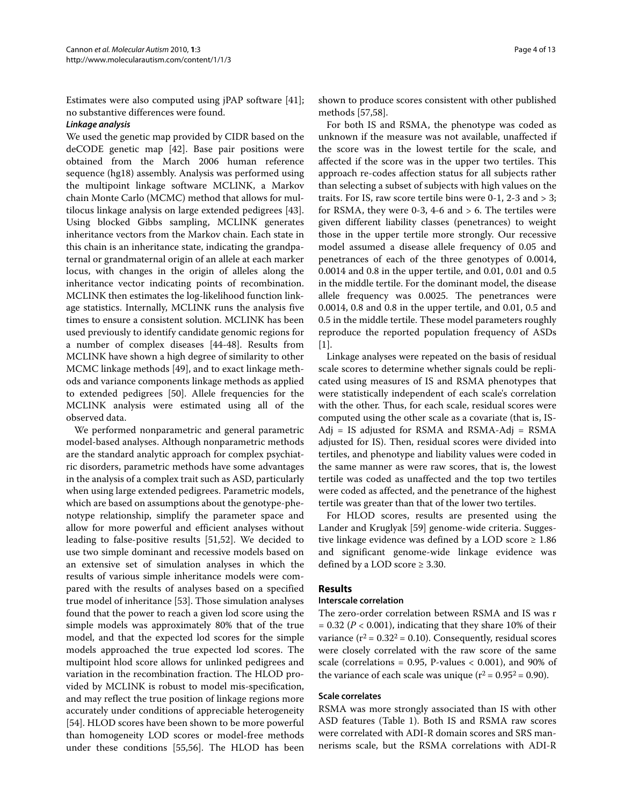Estimates were also computed using jPAP software [[41\]](#page-11-26); no substantive differences were found.

#### **Linkage analysis**

We used the genetic map provided by CIDR based on the deCODE genetic map [\[42](#page-11-27)]. Base pair positions were obtained from the March 2006 human reference sequence (hg18) assembly. Analysis was performed using the multipoint linkage software MCLINK, a Markov chain Monte Carlo (MCMC) method that allows for multilocus linkage analysis on large extended pedigrees [[43](#page-11-28)]. Using blocked Gibbs sampling, MCLINK generates inheritance vectors from the Markov chain. Each state in this chain is an inheritance state, indicating the grandpaternal or grandmaternal origin of an allele at each marker locus, with changes in the origin of alleles along the inheritance vector indicating points of recombination. MCLINK then estimates the log-likelihood function linkage statistics. Internally, MCLINK runs the analysis five times to ensure a consistent solution. MCLINK has been used previously to identify candidate genomic regions for a number of complex diseases [\[44](#page-11-29)-[48\]](#page-11-30). Results from MCLINK have shown a high degree of similarity to other MCMC linkage methods [\[49](#page-11-31)], and to exact linkage methods and variance components linkage methods as applied to extended pedigrees [\[50](#page-11-32)]. Allele frequencies for the MCLINK analysis were estimated using all of the observed data.

We performed nonparametric and general parametric model-based analyses. Although nonparametric methods are the standard analytic approach for complex psychiatric disorders, parametric methods have some advantages in the analysis of a complex trait such as ASD, particularly when using large extended pedigrees. Parametric models, which are based on assumptions about the genotype-phenotype relationship, simplify the parameter space and allow for more powerful and efficient analyses without leading to false-positive results [\[51](#page-12-0),[52](#page-12-1)]. We decided to use two simple dominant and recessive models based on an extensive set of simulation analyses in which the results of various simple inheritance models were compared with the results of analyses based on a specified true model of inheritance [\[53](#page-12-2)]. Those simulation analyses found that the power to reach a given lod score using the simple models was approximately 80% that of the true model, and that the expected lod scores for the simple models approached the true expected lod scores. The multipoint hlod score allows for unlinked pedigrees and variation in the recombination fraction. The HLOD provided by MCLINK is robust to model mis-specification, and may reflect the true position of linkage regions more accurately under conditions of appreciable heterogeneity [\[54](#page-12-3)]. HLOD scores have been shown to be more powerful than homogeneity LOD scores or model-free methods under these conditions [[55,](#page-12-4)[56\]](#page-12-5). The HLOD has been

shown to produce scores consistent with other published methods [\[57](#page-12-6)[,58](#page-12-7)].

For both IS and RSMA, the phenotype was coded as unknown if the measure was not available, unaffected if the score was in the lowest tertile for the scale, and affected if the score was in the upper two tertiles. This approach re-codes affection status for all subjects rather than selecting a subset of subjects with high values on the traits. For IS, raw score tertile bins were 0-1, 2-3 and > 3; for RSMA, they were 0-3, 4-6 and  $> 6$ . The tertiles were given different liability classes (penetrances) to weight those in the upper tertile more strongly. Our recessive model assumed a disease allele frequency of 0.05 and penetrances of each of the three genotypes of 0.0014, 0.0014 and 0.8 in the upper tertile, and 0.01, 0.01 and 0.5 in the middle tertile. For the dominant model, the disease allele frequency was 0.0025. The penetrances were 0.0014, 0.8 and 0.8 in the upper tertile, and 0.01, 0.5 and 0.5 in the middle tertile. These model parameters roughly reproduce the reported population frequency of ASDs  $[1]$  $[1]$ .

Linkage analyses were repeated on the basis of residual scale scores to determine whether signals could be replicated using measures of IS and RSMA phenotypes that were statistically independent of each scale's correlation with the other. Thus, for each scale, residual scores were computed using the other scale as a covariate (that is, IS-Adj = IS adjusted for RSMA and RSMA-Adj = RSMA adjusted for IS). Then, residual scores were divided into tertiles, and phenotype and liability values were coded in the same manner as were raw scores, that is, the lowest tertile was coded as unaffected and the top two tertiles were coded as affected, and the penetrance of the highest tertile was greater than that of the lower two tertiles.

For HLOD scores, results are presented using the Lander and Kruglyak [\[59\]](#page-12-8) genome-wide criteria. Suggestive linkage evidence was defined by a LOD score  $\geq 1.86$ and significant genome-wide linkage evidence was defined by a LOD score  $\geq$  3.30.

#### **Results**

#### **Interscale correlation**

The zero-order correlation between RSMA and IS was r  $= 0.32$  ( $P < 0.001$ ), indicating that they share 10% of their variance ( $r^2$  = 0.32<sup>2</sup> = 0.10). Consequently, residual scores were closely correlated with the raw score of the same scale (correlations =  $0.95$ , P-values <  $0.001$ ), and  $90\%$  of the variance of each scale was unique ( $r^2$  = 0.95<sup>2</sup> = 0.90).

#### **Scale correlates**

RSMA was more strongly associated than IS with other ASD features (Table 1). Both IS and RSMA raw scores were correlated with ADI-R domain scores and SRS mannerisms scale, but the RSMA correlations with ADI-R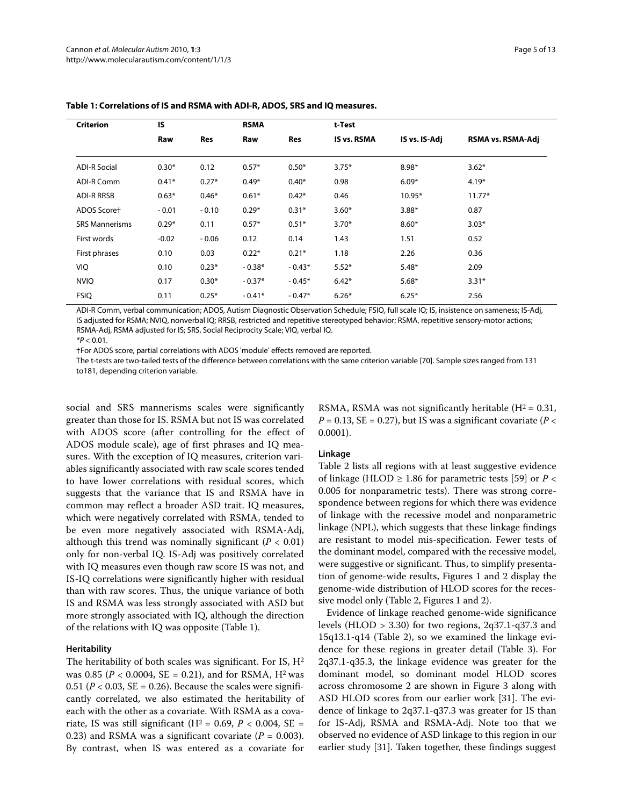| <b>Criterion</b>      | IS      |         | <b>RSMA</b> |          | t-Test             |               |                   |
|-----------------------|---------|---------|-------------|----------|--------------------|---------------|-------------------|
|                       | Raw     | Res     | Raw         | Res      | <b>IS vs. RSMA</b> | IS vs. IS-Adj | RSMA vs. RSMA-Adj |
| <b>ADI-R Social</b>   | $0.30*$ | 0.12    | $0.57*$     | $0.50*$  | $3.75*$            | $8.98*$       | $3.62*$           |
| ADI-R Comm            | $0.41*$ | $0.27*$ | $0.49*$     | $0.40*$  | 0.98               | $6.09*$       | $4.19*$           |
| <b>ADI-R RRSB</b>     | $0.63*$ | $0.46*$ | $0.61*$     | $0.42*$  | 0.46               | $10.95*$      | $11.77*$          |
| ADOS Scoret           | $-0.01$ | $-0.10$ | $0.29*$     | $0.31*$  | $3.60*$            | $3.88*$       | 0.87              |
| <b>SRS Mannerisms</b> | $0.29*$ | 0.11    | $0.57*$     | $0.51*$  | $3.70*$            | $8.60*$       | $3.03*$           |
| First words           | $-0.02$ | $-0.06$ | 0.12        | 0.14     | 1.43               | 1.51          | 0.52              |
| First phrases         | 0.10    | 0.03    | $0.22*$     | $0.21*$  | 1.18               | 2.26          | 0.36              |
| VIQ                   | 0.10    | $0.23*$ | $-0.38*$    | $-0.43*$ | $5.52*$            | $5.48*$       | 2.09              |
| <b>NVIQ</b>           | 0.17    | $0.30*$ | $-0.37*$    | $-0.45*$ | $6.42*$            | $5.68*$       | $3.31*$           |
| <b>FSIQ</b>           | 0.11    | $0.25*$ | $-0.41*$    | $-0.47*$ | $6.26*$            | $6.25*$       | 2.56              |

**Table 1: Correlations of IS and RSMA with ADI-R, ADOS, SRS and IQ measures.**

ADI-R Comm, verbal communication; ADOS, Autism Diagnostic Observation Schedule; FSIQ, full scale IQ; IS, insistence on sameness; IS-Adj, IS adjusted for RSMA; NVIQ, nonverbal IQ; RRSB, restricted and repetitive stereotyped behavior; RSMA, repetitive sensory-motor actions; RSMA-Adj, RSMA adjusted for IS; SRS, Social Reciprocity Scale; VIQ, verbal IQ.

 $*P < 0.01$ .

†For ADOS score, partial correlations with ADOS 'module' effects removed are reported.

The t-tests are two-tailed tests of the difference between correlations with the same criterion variable [[70](#page-12-9)]. Sample sizes ranged from 131 to181, depending criterion variable.

social and SRS mannerisms scales were significantly greater than those for IS. RSMA but not IS was correlated with ADOS score (after controlling for the effect of ADOS module scale), age of first phrases and IQ measures. With the exception of IQ measures, criterion variables significantly associated with raw scale scores tended to have lower correlations with residual scores, which suggests that the variance that IS and RSMA have in common may reflect a broader ASD trait. IQ measures, which were negatively correlated with RSMA, tended to be even more negatively associated with RSMA-Adj, although this trend was nominally significant  $(P < 0.01)$ only for non-verbal IQ. IS-Adj was positively correlated with IQ measures even though raw score IS was not, and IS-IQ correlations were significantly higher with residual than with raw scores. Thus, the unique variance of both IS and RSMA was less strongly associated with ASD but more strongly associated with IQ, although the direction of the relations with IQ was opposite (Table 1).

#### **Heritability**

The heritability of both scales was significant. For IS, H2 was 0.85 (*P* < 0.0004, SE = 0.21), and for RSMA, H2 was 0.51 ( $P < 0.03$ , SE = 0.26). Because the scales were significantly correlated, we also estimated the heritability of each with the other as a covariate. With RSMA as a covariate, IS was still significant ( $H^2 = 0.69$ ,  $P < 0.004$ , SE = 0.23) and RSMA was a significant covariate  $(P = 0.003)$ . By contrast, when IS was entered as a covariate for

RSMA, RSMA was not significantly heritable ( $H^2 = 0.31$ ,  $P = 0.13$ , SE = 0.27), but IS was a significant covariate ( $P <$ 0.0001).

#### **Linkage**

Table [2](#page-6-0) lists all regions with at least suggestive evidence of linkage (HLOD  $\geq$  1.86 for parametric tests [[59](#page-12-8)] or *P* < 0.005 for nonparametric tests). There was strong correspondence between regions for which there was evidence of linkage with the recessive model and nonparametric linkage (NPL), which suggests that these linkage findings are resistant to model mis-specification. Fewer tests of the dominant model, compared with the recessive model, were suggestive or significant. Thus, to simplify presentation of genome-wide results, Figures [1](#page-5-0) and [2](#page-5-1) display the genome-wide distribution of HLOD scores for the recessive model only (Table 2, Figures [1](#page-5-0) and [2\)](#page-5-1).

Evidence of linkage reached genome-wide significance levels (HLOD > 3.30) for two regions, 2q37.1-q37.3 and 15q13.1-q14 (Table 2), so we examined the linkage evidence for these regions in greater detail (Table 3). For 2q37.1-q35.3, the linkage evidence was greater for the dominant model, so dominant model HLOD scores across chromosome 2 are shown in Figure [3](#page-7-0) along with ASD HLOD scores from our earlier work [\[31](#page-11-16)]. The evidence of linkage to 2q37.1-q37.3 was greater for IS than for IS-Adj, RSMA and RSMA-Adj. Note too that we observed no evidence of ASD linkage to this region in our earlier study [[31\]](#page-11-16). Taken together, these findings suggest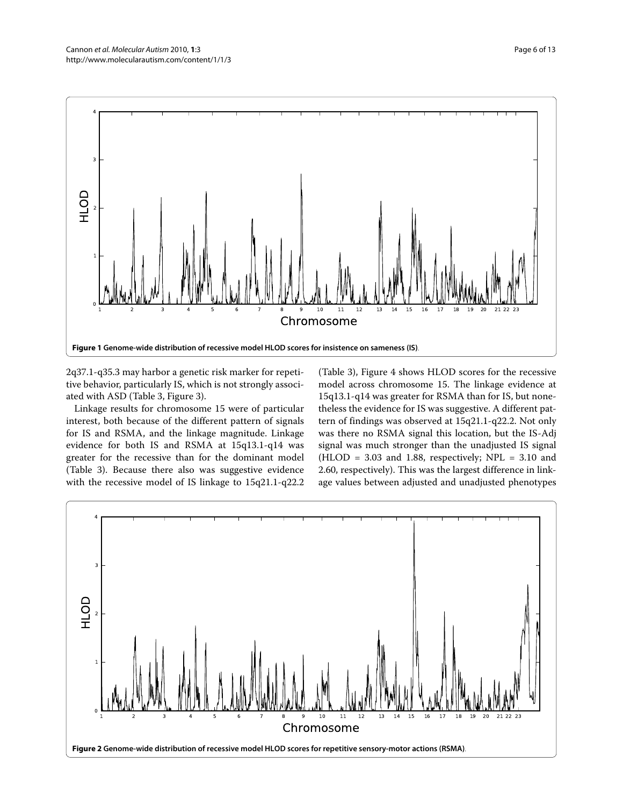<span id="page-5-0"></span>

2q37.1-q35.3 may harbor a genetic risk marker for repetitive behavior, particularly IS, which is not strongly associated with ASD (Table 3, Figure [3](#page-7-0)).

Linkage results for chromosome 15 were of particular interest, both because of the different pattern of signals for IS and RSMA, and the linkage magnitude. Linkage evidence for both IS and RSMA at 15q13.1-q14 was greater for the recessive than for the dominant model (Table 3). Because there also was suggestive evidence with the recessive model of IS linkage to 15q21.1-q22.2

(Table 3), Figure [4](#page-8-0) shows HLOD scores for the recessive model across chromosome 15. The linkage evidence at 15q13.1-q14 was greater for RSMA than for IS, but nonetheless the evidence for IS was suggestive. A different pattern of findings was observed at 15q21.1-q22.2. Not only was there no RSMA signal this location, but the IS-Adj signal was much stronger than the unadjusted IS signal (HLOD = 3.03 and 1.88, respectively;  $NPL = 3.10$  and 2.60, respectively). This was the largest difference in linkage values between adjusted and unadjusted phenotypes

<span id="page-5-1"></span>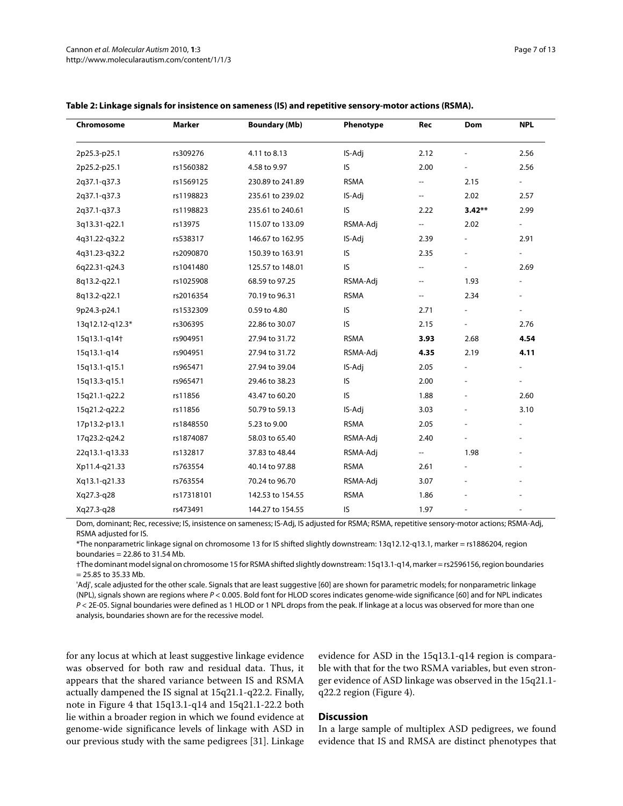| Chromosome      | <b>Marker</b> | <b>Boundary (Mb)</b> | Phenotype   | Rec                                                 | <b>Dom</b>               | <b>NPL</b>               |
|-----------------|---------------|----------------------|-------------|-----------------------------------------------------|--------------------------|--------------------------|
| 2p25.3-p25.1    | rs309276      | 4.11 to 8.13         | IS-Adj      | 2.12                                                |                          | 2.56                     |
| 2p25.2-p25.1    | rs1560382     | 4.58 to 9.97         | IS          | 2.00                                                |                          | 2.56                     |
| 2q37.1-q37.3    | rs1569125     | 230.89 to 241.89     | <b>RSMA</b> | $-\!$                                               | 2.15                     | $\blacksquare$           |
| 2g37.1-g37.3    | rs1198823     | 235.61 to 239.02     | IS-Adj      | $\overline{\phantom{a}}$                            | 2.02                     | 2.57                     |
| 2q37.1-q37.3    | rs1198823     | 235.61 to 240.61     | IS          | 2.22                                                | $3.42**$                 | 2.99                     |
| 3q13.31-q22.1   | rs13975       | 115.07 to 133.09     | RSMA-Adj    | $\hspace{0.05cm} -\hspace{0.05cm}$                  | 2.02                     | ÷                        |
| 4q31.22-q32.2   | rs538317      | 146.67 to 162.95     | IS-Adj      | 2.39                                                |                          | 2.91                     |
| 4g31.23-g32.2   | rs2090870     | 150.39 to 163.91     | IS          | 2.35                                                |                          | $\sim$                   |
| 6q22.31-q24.3   | rs1041480     | 125.57 to 148.01     | IS          | $-\!$                                               | $\overline{\phantom{a}}$ | 2.69                     |
| 8q13.2-q22.1    | rs1025908     | 68.59 to 97.25       | RSMA-Adj    | $\overline{\phantom{m}}$                            | 1.93                     | $\overline{\phantom{a}}$ |
| 8q13.2-q22.1    | rs2016354     | 70.19 to 96.31       | <b>RSMA</b> | $\hspace{0.05cm} -\hspace{0.05cm} -\hspace{0.05cm}$ | 2.34                     | $\overline{\phantom{a}}$ |
| 9p24.3-p24.1    | rs1532309     | 0.59 to 4.80         | IS          | 2.71                                                | $\overline{\phantom{a}}$ |                          |
| 13q12.12-q12.3* | rs306395      | 22.86 to 30.07       | IS          | 2.15                                                |                          | 2.76                     |
| 15q13.1-q14†    | rs904951      | 27.94 to 31.72       | <b>RSMA</b> | 3.93                                                | 2.68                     | 4.54                     |
| 15q13.1-q14     | rs904951      | 27.94 to 31.72       | RSMA-Adj    | 4.35                                                | 2.19                     | 4.11                     |
| 15q13.1-q15.1   | rs965471      | 27.94 to 39.04       | IS-Adj      | 2.05                                                |                          |                          |
| 15q13.3-q15.1   | rs965471      | 29.46 to 38.23       | IS          | 2.00                                                |                          |                          |
| 15q21.1-q22.2   | rs11856       | 43.47 to 60.20       | IS          | 1.88                                                |                          | 2.60                     |
| 15q21.2-q22.2   | rs11856       | 50.79 to 59.13       | IS-Adj      | 3.03                                                |                          | 3.10                     |
| 17p13.2-p13.1   | rs1848550     | 5.23 to 9.00         | <b>RSMA</b> | 2.05                                                | $\overline{\phantom{a}}$ | $\overline{\phantom{a}}$ |
| 17q23.2-q24.2   | rs1874087     | 58.03 to 65.40       | RSMA-Adj    | 2.40                                                | ÷,                       |                          |

#### <span id="page-6-0"></span>**Table 2: Linkage signals for insistence on sameness (IS) and repetitive sensory-motor actions (RSMA).**

Dom, dominant; Rec, recessive; IS, insistence on sameness; IS-Adj, IS adjusted for RSMA; RSMA, repetitive sensory-motor actions; RSMA-Adj, RSMA adjusted for IS.

\*The nonparametric linkage signal on chromosome 13 for IS shifted slightly downstream: 13q12.12-q13.1, marker = rs1886204, region boundaries = 22.86 to 31.54 Mb.

Xp11.4-q21.33 rs763554 40.14 to 97.88 RSMA 2.61 - -

22q13.1-q13.33 rs132817 37.83 to 48.44 RSMA-Adj -- 1.98

Xq13.1-q21.33 rs763554 70.24 to 96.70 RSMA-Adj 3.07 Xq27.3-q28 rs17318101 142.53 to 154.55 RSMA 1.86 Xq27.3-q28 rs473491 144.27 to 154.55 IS 1.97

†The dominant model signal on chromosome 15 for RSMA shifted slightly downstream: 15q13.1-q14, marker = rs2596156, region boundaries = 25.85 to 35.33 Mb.

'Adj', scale adjusted for the other scale. Signals that are least suggestive [\[60](#page-12-10)] are shown for parametric models; for nonparametric linkage (NPL), signals shown are regions where P < 0.005. Bold font for HLOD scores indicates genome-wide significance [[60\]](#page-12-10) and for NPL indicates  $P$  < 2E-05. Signal boundaries were defined as 1 HLOD or 1 NPL drops from the peak. If linkage at a locus was observed for more than one analysis, boundaries shown are for the recessive model.

for any locus at which at least suggestive linkage evidence was observed for both raw and residual data. Thus, it appears that the shared variance between IS and RSMA actually dampened the IS signal at 15q21.1-q22.2. Finally, note in Figure [4](#page-8-0) that 15q13.1-q14 and 15q21.1-22.2 both lie within a broader region in which we found evidence at genome-wide significance levels of linkage with ASD in our previous study with the same pedigrees [[31\]](#page-11-16). Linkage

evidence for ASD in the 15q13.1-q14 region is comparable with that for the two RSMA variables, but even stronger evidence of ASD linkage was observed in the 15q21.1 q22.2 region (Figure [4](#page-8-0)).

#### **Discussion**

In a large sample of multiplex ASD pedigrees, we found evidence that IS and RMSA are distinct phenotypes that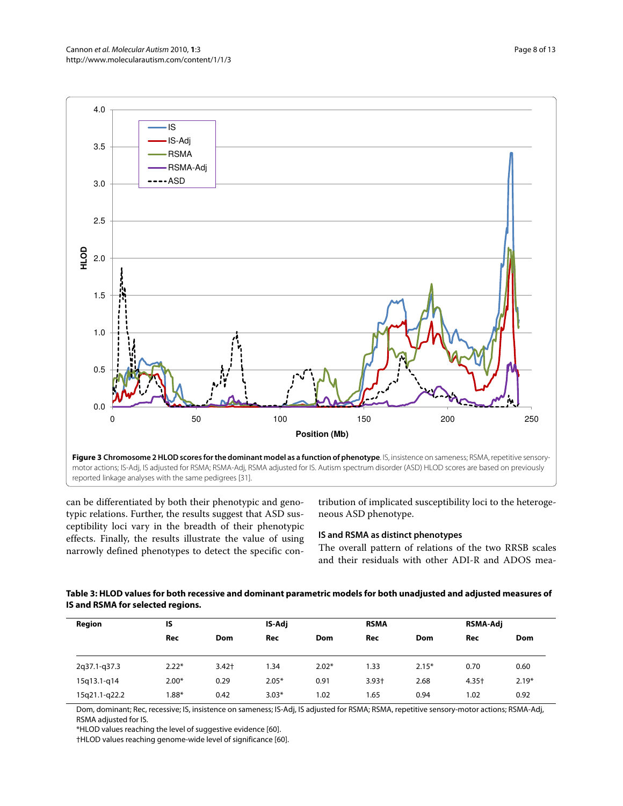<span id="page-7-0"></span>

can be differentiated by both their phenotypic and genotypic relations. Further, the results suggest that ASD susceptibility loci vary in the breadth of their phenotypic effects. Finally, the results illustrate the value of using narrowly defined phenotypes to detect the specific con-

tribution of implicated susceptibility loci to the heterogeneous ASD phenotype.

#### **IS and RSMA as distinct phenotypes**

The overall pattern of relations of the two RRSB scales and their residuals with other ADI-R and ADOS mea-

**Table 3: HLOD values for both recessive and dominant parametric models for both unadjusted and adjusted measures of IS and RSMA for selected regions.** 

| Region        | IS      |         | IS-Adj  |         | <b>RSMA</b> |         |         | <b>RSMA-Adj</b> |  |
|---------------|---------|---------|---------|---------|-------------|---------|---------|-----------------|--|
|               | Rec     | Dom     | Rec     | Dom     | Rec         | Dom     | Rec     | Dom             |  |
| 2q37.1-q37.3  | $2.22*$ | $3.42+$ | 1.34    | $2.02*$ | 1.33        | $2.15*$ | 0.70    | 0.60            |  |
| 15q13.1-q14   | $2.00*$ | 0.29    | $2.05*$ | 0.91    | $3.93+$     | 2.68    | $4.35+$ | $2.19*$         |  |
| 15q21.1-q22.2 | $1.88*$ | 0.42    | $3.03*$ | 1.02    | 1.65        | 0.94    | 1.02    | 0.92            |  |

Dom, dominant; Rec, recessive; IS, insistence on sameness; IS-Adj, IS adjusted for RSMA; RSMA, repetitive sensory-motor actions; RSMA-Adj, RSMA adjusted for IS.

\*HLOD values reaching the level of suggestive evidence [\[60](#page-12-10)].

†HLOD values reaching genome-wide level of significance [\[60](#page-12-10)].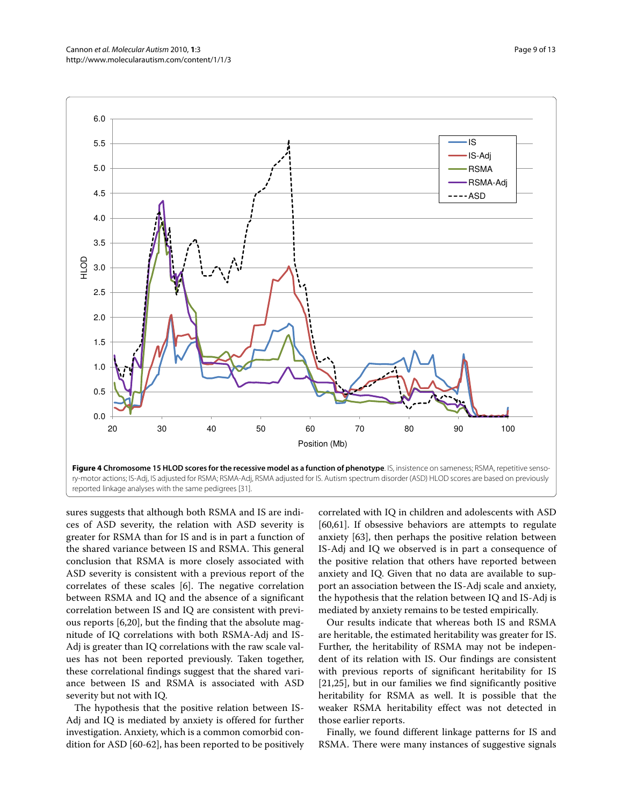<span id="page-8-0"></span>

sures suggests that although both RSMA and IS are indices of ASD severity, the relation with ASD severity is greater for RSMA than for IS and is in part a function of

the shared variance between IS and RSMA. This general conclusion that RSMA is more closely associated with ASD severity is consistent with a previous report of the correlates of these scales [[6\]](#page-10-4). The negative correlation between RSMA and IQ and the absence of a significant correlation between IS and IQ are consistent with previous reports [[6,](#page-10-4)[20\]](#page-11-8), but the finding that the absolute magnitude of IQ correlations with both RSMA-Adj and IS-Adj is greater than IQ correlations with the raw scale values has not been reported previously. Taken together, these correlational findings suggest that the shared variance between IS and RSMA is associated with ASD severity but not with IQ.

The hypothesis that the positive relation between IS-Adj and IQ is mediated by anxiety is offered for further investigation. Anxiety, which is a common comorbid condition for ASD [\[60](#page-12-10)-[62\]](#page-12-11), has been reported to be positively

correlated with IQ in children and adolescents with ASD [\[60](#page-12-10)[,61](#page-12-12)]. If obsessive behaviors are attempts to regulate anxiety [\[63](#page-12-13)], then perhaps the positive relation between IS-Adj and IQ we observed is in part a consequence of the positive relation that others have reported between anxiety and IQ. Given that no data are available to support an association between the IS-Adj scale and anxiety, the hypothesis that the relation between IQ and IS-Adj is mediated by anxiety remains to be tested empirically.

Our results indicate that whereas both IS and RSMA are heritable, the estimated heritability was greater for IS. Further, the heritability of RSMA may not be independent of its relation with IS. Our findings are consistent with previous reports of significant heritability for IS [\[21](#page-11-12)[,25](#page-11-9)], but in our families we find significantly positive heritability for RSMA as well. It is possible that the weaker RSMA heritability effect was not detected in those earlier reports.

Finally, we found different linkage patterns for IS and RSMA. There were many instances of suggestive signals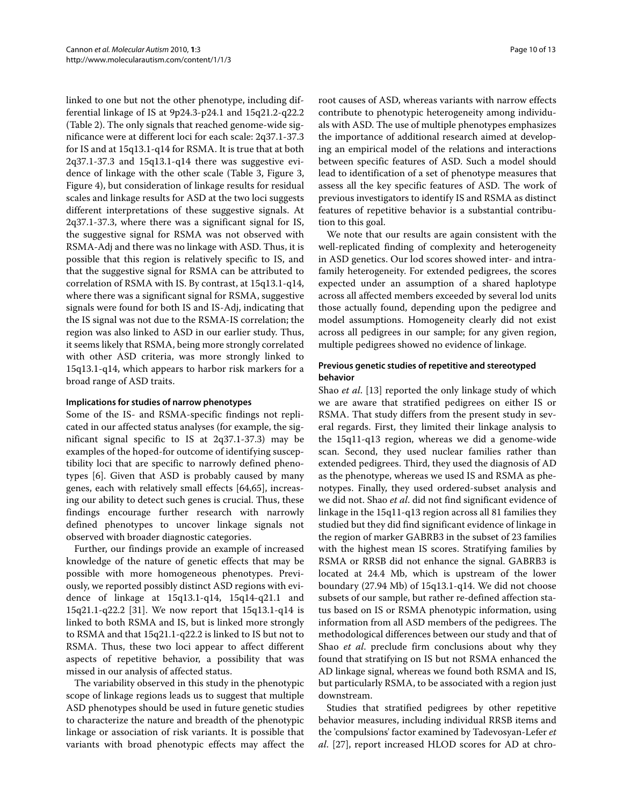linked to one but not the other phenotype, including differential linkage of IS at 9p24.3-p24.1 and 15q21.2-q22.2 (Table 2). The only signals that reached genome-wide significance were at different loci for each scale: 2q37.1-37.3 for IS and at 15q13.1-q14 for RSMA. It is true that at both 2q37.1-37.3 and 15q13.1-q14 there was suggestive evidence of linkage with the other scale (Table 3, Figure [3,](#page-7-0) Figure [4](#page-8-0)), but consideration of linkage results for residual scales and linkage results for ASD at the two loci suggests different interpretations of these suggestive signals. At 2q37.1-37.3, where there was a significant signal for IS, the suggestive signal for RSMA was not observed with RSMA-Adj and there was no linkage with ASD. Thus, it is possible that this region is relatively specific to IS, and that the suggestive signal for RSMA can be attributed to correlation of RSMA with IS. By contrast, at 15q13.1-q14, where there was a significant signal for RSMA, suggestive signals were found for both IS and IS-Adj, indicating that the IS signal was not due to the RSMA-IS correlation; the region was also linked to ASD in our earlier study. Thus, it seems likely that RSMA, being more strongly correlated with other ASD criteria, was more strongly linked to 15q13.1-q14, which appears to harbor risk markers for a broad range of ASD traits.

#### **Implications for studies of narrow phenotypes**

Some of the IS- and RSMA-specific findings not replicated in our affected status analyses (for example, the significant signal specific to IS at 2q37.1-37.3) may be examples of the hoped-for outcome of identifying susceptibility loci that are specific to narrowly defined phenotypes [[6\]](#page-10-4). Given that ASD is probably caused by many genes, each with relatively small effects [\[64](#page-12-14),[65](#page-12-15)], increasing our ability to detect such genes is crucial. Thus, these findings encourage further research with narrowly defined phenotypes to uncover linkage signals not observed with broader diagnostic categories.

Further, our findings provide an example of increased knowledge of the nature of genetic effects that may be possible with more homogeneous phenotypes. Previously, we reported possibly distinct ASD regions with evidence of linkage at 15q13.1-q14, 15q14-q21.1 and 15q21.1-q22.2 [[31\]](#page-11-16). We now report that 15q13.1-q14 is linked to both RSMA and IS, but is linked more strongly to RSMA and that 15q21.1-q22.2 is linked to IS but not to RSMA. Thus, these two loci appear to affect different aspects of repetitive behavior, a possibility that was missed in our analysis of affected status.

The variability observed in this study in the phenotypic scope of linkage regions leads us to suggest that multiple ASD phenotypes should be used in future genetic studies to characterize the nature and breadth of the phenotypic linkage or association of risk variants. It is possible that variants with broad phenotypic effects may affect the

root causes of ASD, whereas variants with narrow effects contribute to phenotypic heterogeneity among individuals with ASD. The use of multiple phenotypes emphasizes the importance of additional research aimed at developing an empirical model of the relations and interactions between specific features of ASD. Such a model should lead to identification of a set of phenotype measures that assess all the key specific features of ASD. The work of previous investigators to identify IS and RSMA as distinct features of repetitive behavior is a substantial contribution to this goal.

We note that our results are again consistent with the well-replicated finding of complexity and heterogeneity in ASD genetics. Our lod scores showed inter- and intrafamily heterogeneity. For extended pedigrees, the scores expected under an assumption of a shared haplotype across all affected members exceeded by several lod units those actually found, depending upon the pedigree and model assumptions. Homogeneity clearly did not exist across all pedigrees in our sample; for any given region, multiple pedigrees showed no evidence of linkage.

## **Previous genetic studies of repetitive and stereotyped behavior**

Shao *et al*. [[13](#page-11-2)] reported the only linkage study of which we are aware that stratified pedigrees on either IS or RSMA. That study differs from the present study in several regards. First, they limited their linkage analysis to the 15q11-q13 region, whereas we did a genome-wide scan. Second, they used nuclear families rather than extended pedigrees. Third, they used the diagnosis of AD as the phenotype, whereas we used IS and RSMA as phenotypes. Finally, they used ordered-subset analysis and we did not. Shao *et al*. did not find significant evidence of linkage in the 15q11-q13 region across all 81 families they studied but they did find significant evidence of linkage in the region of marker GABRB3 in the subset of 23 families with the highest mean IS scores. Stratifying families by RSMA or RRSB did not enhance the signal. GABRB3 is located at 24.4 Mb, which is upstream of the lower boundary (27.94 Mb) of 15q13.1-q14. We did not choose subsets of our sample, but rather re-defined affection status based on IS or RSMA phenotypic information, using information from all ASD members of the pedigrees. The methodological differences between our study and that of Shao *et al*. preclude firm conclusions about why they found that stratifying on IS but not RSMA enhanced the AD linkage signal, whereas we found both RSMA and IS, but particularly RSMA, to be associated with a region just downstream.

Studies that stratified pedigrees by other repetitive behavior measures, including individual RRSB items and the 'compulsions' factor examined by Tadevosyan-Lefer *et al*. [[27\]](#page-11-11), report increased HLOD scores for AD at chro-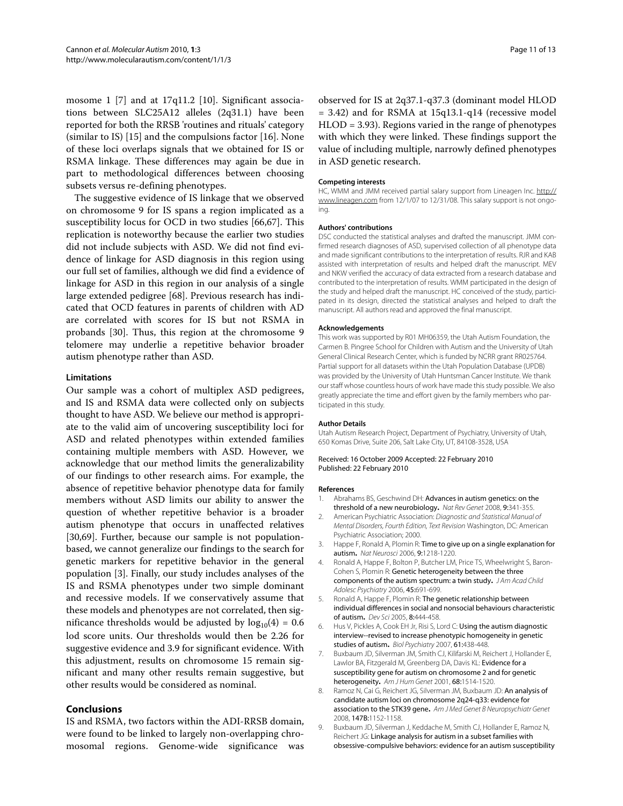mosome 1 [\[7](#page-10-5)] and at 17q11.2 [[10\]](#page-11-33). Significant associations between SLC25A12 alleles (2q31.1) have been reported for both the RRSB 'routines and rituals' category (similar to IS) [[15](#page-11-34)] and the compulsions factor [[16\]](#page-11-4). None of these loci overlaps signals that we obtained for IS or RSMA linkage. These differences may again be due in part to methodological differences between choosing subsets versus re-defining phenotypes.

The suggestive evidence of IS linkage that we observed on chromosome 9 for IS spans a region implicated as a susceptibility locus for OCD in two studies [\[66](#page-12-16)[,67](#page-12-17)]. This replication is noteworthy because the earlier two studies did not include subjects with ASD. We did not find evidence of linkage for ASD diagnosis in this region using our full set of families, although we did find a evidence of linkage for ASD in this region in our analysis of a single large extended pedigree [\[68\]](#page-12-18). Previous research has indicated that OCD features in parents of children with AD are correlated with scores for IS but not RSMA in probands [[30\]](#page-11-15). Thus, this region at the chromosome 9 telomere may underlie a repetitive behavior broader autism phenotype rather than ASD.

#### **Limitations**

Our sample was a cohort of multiplex ASD pedigrees, and IS and RSMA data were collected only on subjects thought to have ASD. We believe our method is appropriate to the valid aim of uncovering susceptibility loci for ASD and related phenotypes within extended families containing multiple members with ASD. However, we acknowledge that our method limits the generalizability of our findings to other research aims. For example, the absence of repetitive behavior phenotype data for family members without ASD limits our ability to answer the question of whether repetitive behavior is a broader autism phenotype that occurs in unaffected relatives [\[30](#page-11-15)[,69](#page-12-19)]. Further, because our sample is not populationbased, we cannot generalize our findings to the search for genetic markers for repetitive behavior in the general population [[3](#page-10-2)]. Finally, our study includes analyses of the IS and RSMA phenotypes under two simple dominant and recessive models. If we conservatively assume that these models and phenotypes are not correlated, then significance thresholds would be adjusted by  $log_{10}(4) = 0.6$ lod score units. Our thresholds would then be 2.26 for suggestive evidence and 3.9 for significant evidence. With this adjustment, results on chromosome 15 remain significant and many other results remain suggestive, but other results would be considered as nominal.

# **Conclusions**

IS and RSMA, two factors within the ADI-RRSB domain, were found to be linked to largely non-overlapping chromosomal regions. Genome-wide significance was

observed for IS at 2q37.1-q37.3 (dominant model HLOD  $= 3.42$ ) and for RSMA at 15q13.1-q14 (recessive model HLOD = 3.93). Regions varied in the range of phenotypes with which they were linked. These findings support the value of including multiple, narrowly defined phenotypes in ASD genetic research.

#### **Competing interests**

HC, WMM and JMM received partial salary support from Lineagen Inc. [http://](http://www.lineagen.com) [www.lineagen.com](http://www.lineagen.com) from 12/1/07 to 12/31/08. This salary support is not ongoing.

#### **Authors' contributions**

DSC conducted the statistical analyses and drafted the manuscript. JMM confirmed research diagnoses of ASD, supervised collection of all phenotype data and made significant contributions to the interpretation of results. RJR and KAB assisted with interpretation of results and helped draft the manuscript. MEV and NKW verified the accuracy of data extracted from a research database and contributed to the interpretation of results. WMM participated in the design of the study and helped draft the manuscript. HC conceived of the study, participated in its design, directed the statistical analyses and helped to draft the manuscript. All authors read and approved the final manuscript.

#### **Acknowledgements**

This work was supported by R01 MH06359, the Utah Autism Foundation, the Carmen B. Pingree School for Children with Autism and the University of Utah General Clinical Research Center, which is funded by NCRR grant RR025764. Partial support for all datasets within the Utah Population Database (UPDB) was provided by the University of Utah Huntsman Cancer Institute. We thank our staff whose countless hours of work have made this study possible. We also greatly appreciate the time and effort given by the family members who participated in this study.

#### **Author Details**

Utah Autism Research Project, Department of Psychiatry, University of Utah, 650 Komas Drive, Suite 206, Salt Lake City, UT, 84108-3528, USA

#### Received: 16 October 2009 Accepted: 22 February 2010 Published: 22 February 2010

#### **References**

- <span id="page-10-0"></span>1. Abrahams BS, Geschwind DH: Advances in autism genetics: on the threshold of a new neurobiology**.** Nat Rev Genet 2008, 9:341-355.
- <span id="page-10-1"></span>2. American Psychiatric Association: Diagnostic and Statistical Manual of Mental Disorders, Fourth Edition, Text Revision Washington, DC: American Psychiatric Association; 2000.
- <span id="page-10-2"></span>3. Happe F, Ronald A, Plomin R: Time to give up on a single explanation for autism**.** Nat Neurosci 2006, 9:1218-1220.
- 4. Ronald A, Happe F, Bolton P, Butcher LM, Price TS, Wheelwright S, Baron-Cohen S, Plomin R: Genetic heterogeneity between the three components of the autism spectrum: a twin study**.** J Am Acad Child Adolesc Psychiatry 2006, 45:691-699.
- <span id="page-10-3"></span>5. Ronald A, Happe F, Plomin R: The genetic relationship between individual differences in social and nonsocial behaviours characteristic of autism**.** Dev Sci 2005, 8:444-458.
- <span id="page-10-4"></span>6. Hus V, Pickles A, Cook EH Jr, Risi S, Lord C: Using the autism diagnostic interview--revised to increase phenotypic homogeneity in genetic studies of autism**.** Biol Psychiatry 2007, 61:438-448.
- <span id="page-10-5"></span>7. Buxbaum JD, Silverman JM, Smith CJ, Kilifarski M, Reichert J, Hollander E, Lawlor BA, Fitzgerald M, Greenberg DA, Davis KL: Evidence for a susceptibility gene for autism on chromosome 2 and for genetic heterogeneity**[.](http://www.ncbi.nlm.nih.gov/entrez/query.fcgi?cmd=Retrieve&db=PubMed&dopt=Abstract&list_uids=11353400)** Am J Hum Genet 2001, 68:1514-1520.
- <span id="page-10-6"></span>8. Ramoz N, Cai G, Reichert JG, Silverman JM, Buxbaum JD: An analysis of candidate autism loci on chromosome 2q24-q33: evidence for association to the STK39 gene**.** Am J Med Genet B Neuropsychiatr Genet 2008, 147B:1152-1158.
- <span id="page-10-7"></span>9. Buxbaum JD, Silverman J, Keddache M, Smith CJ, Hollander E, Ramoz N, Reichert JG: Linkage analysis for autism in a subset families with obsessive-compulsive behaviors: evidence for an autism susceptibility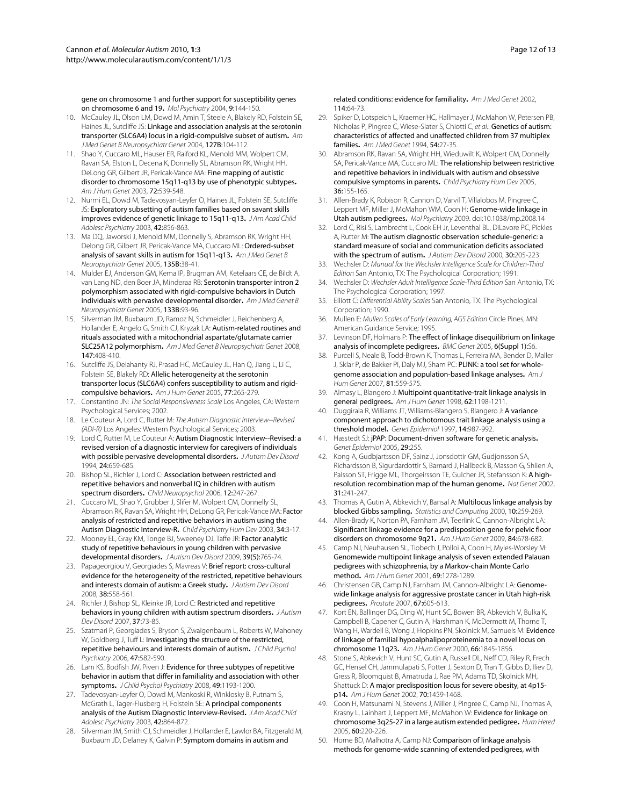gene on chromosome 1 and further support for susceptibility genes on chromosome 6 and 19**.** Mol Psychiatry 2004, 9:144-150.

- <span id="page-11-33"></span>10. McCauley JL, Olson LM, Dowd M, Amin T, Steele A, Blakely RD, Folstein SE, Haines JL, Sutcliffe JS: Linkage and association analysis at the serotonin transporter (SLC6A4) locus in a rigid-compulsive subset of autism**.** Am J Med Genet B Neuropsychiatr Genet 2004, 127B:104-112.
- <span id="page-11-0"></span>11. Shao Y, Cuccaro ML, Hauser ER, Raiford KL, Menold MM, Wolpert CM, Ravan SA, Elston L, Decena K, Donnelly SL, Abramson RK, Wright HH, DeLong GR, Gilbert JR, Pericak-Vance MA: Fine mapping of autistic disorder to chromosome 15q11-q13 by use of phenotypic subtypes**.** Am 1 Hum Genet 2003, **72:**539-548.
- <span id="page-11-1"></span>12. Nurmi EL, Dowd M, Tadevosyan-Leyfer O, Haines JL, Folstein SE, Sutcliffe JS: Exploratory subsetting of autism families based on savant skills improves evidence of genetic linkage to 15q11-q13**.** J Am Acad Child Adolesc Psychiatry 2003, 42:856-863.
- <span id="page-11-2"></span>13. Ma DQ, Jaworski J, Menold MM, Donnelly S, Abramson RK, Wright HH, Delong GR, Gilbert JR, Pericak-Vance MA, Cuccaro ML: Ordered-subset analysis of savant skills in autism for 15q11-q13**.** Am J Med Genet B Neuropsychiatr Genet 2005, 135B:38-41.
- <span id="page-11-3"></span>14. Mulder EJ, Anderson GM, Kema IP, Brugman AM, Ketelaars CE, de Bildt A, van Lang ND, den Boer JA, Minderaa RB: Serotonin transporter intron 2 polymorphism associated with rigid-compulsive behaviors in Dutch individuals with pervasive developmental disorder**[.](http://www.ncbi.nlm.nih.gov/entrez/query.fcgi?cmd=Retrieve&db=PubMed&dopt=Abstract&list_uids=15635668)** Am J Med Genet B Neuropsychiatr Genet 2005, 133B:93-96.
- <span id="page-11-34"></span>15. Silverman JM, Buxbaum JD, Ramoz N, Schmeidler J, Reichenberg A, Hollander E, Angelo G, Smith CJ, Kryzak LA: Autism-related routines and rituals associated with a mitochondrial aspartate/glutamate carrier SLC25A12 polymorphism**.** Am J Med Genet B Neuropsychiatr Genet 2008, 147:408-410.
- <span id="page-11-4"></span>16. Sutcliffe JS, Delahanty RJ, Prasad HC, McCauley JL, Han Q, Jiang L, Li C, Folstein SE, Blakely RD: Allelic heterogeneity at the serotonin transporter locus (SLC6A4) confers susceptibility to autism and rigidcompulsive behaviors**.** Am J Hum Genet 2005, 77:265-279.
- <span id="page-11-5"></span>17. Constantino JN: The Social Responsiveness Scale Los Angeles, CA: Western Psychological Services; 2002.
- <span id="page-11-6"></span>18. Le Couteur A, Lord C, Rutter M: The Autism Diagnostic Interview--Revised (ADI-R) Los Angeles: Western Psychological Services; 2003.
- <span id="page-11-7"></span>19. Lord C, Rutter M, Le Couteur A: Autism Diagnostic Interview--Revised: a revised version of a diagnostic interview for caregivers of individuals with possible pervasive developmental disorders**.** J Autism Dev Disord 1994, 24:659-685.
- <span id="page-11-8"></span>20. Bishop SL, Richler J, Lord C: Association between restricted and repetitive behaviors and nonverbal IQ in children with autism spectrum disorders**.** Child Neuropsychol 2006, 12:247-267.
- <span id="page-11-12"></span>21. Cuccaro ML, Shao Y, Grubber J, Slifer M, Wolpert CM, Donnelly SL, Abramson RK, Ravan SA, Wright HH, DeLong GR, Pericak-Vance MA: Factor analysis of restricted and repetitive behaviors in autism using the Autism Diagnostic Interview-R**[.](http://www.ncbi.nlm.nih.gov/entrez/query.fcgi?cmd=Retrieve&db=PubMed&dopt=Abstract&list_uids=14518620)** Child Psychiatry Hum Dev 2003, 34:3-17.
- 22. Mooney EL, Gray KM, Tonge BJ, Sweeney DJ, Taffe JR: Factor analytic study of repetitive behaviours in young children with pervasive developmental disorders**.** J Autism Dev Disord 2009, 39(5):765-74.
- 23. Papageorgiou V, Georgiades S, Mavreas V: Brief report: cross-cultural evidence for the heterogeneity of the restricted, repetitive behaviours and interests domain of autism: a Greek study**.** J Autism Dev Disord 2008, 38:558-561.
- 24. Richler J, Bishop SL, Kleinke JR, Lord C: Restricted and repetitive behaviors in young children with autism spectrum disorders**.** J Autism Dev Disord 2007, 37:73-85.
- <span id="page-11-9"></span>25. Szatmari P, Georgiades S, Bryson S, Zwaigenbaum L, Roberts W, Mahoney W, Goldberg J, Tuff L: Investigating the structure of the restricted, repetitive behaviours and interests domain of autism**[.](http://www.ncbi.nlm.nih.gov/entrez/query.fcgi?cmd=Retrieve&db=PubMed&dopt=Abstract&list_uids=16712635)** J Child Psychol Psychiatry 2006, 47:582-590.
- <span id="page-11-10"></span>26. Lam KS, Bodfish JW, Piven J: Evidence for three subtypes of repetitive behavior in autism that differ in familiality and association with other symptoms**.** J Child Psychol Psychiatry 2008, 49:1193-1200.
- <span id="page-11-11"></span>27. Tadevosyan-Leyfer O, Dowd M, Mankoski R, Winklosky B, Putnam S, McGrath L, Tager-Flusberg H, Folstein SE: A principal components analysis of the Autism Diagnostic Interview-Revised**.** J Am Acad Child Adolesc Psychiatry 2003, 42:864-872.
- <span id="page-11-13"></span>28. Silverman JM, Smith CJ, Schmeidler J, Hollander E, Lawlor BA, Fitzgerald M, Buxbaum JD, Delaney K, Galvin P: Symptom domains in autism and

related conditions: evidence for familiality**[.](http://www.ncbi.nlm.nih.gov/entrez/query.fcgi?cmd=Retrieve&db=PubMed&dopt=Abstract&list_uids=11840508)** Am J Med Genet 2002, 114:64-73.

- <span id="page-11-14"></span>29. Spiker D, Lotspeich L, Kraemer HC, Hallmayer J, McMahon W, Petersen PB, Nicholas P, Pingree C, Wiese-Slater S, Chiotti C, et al.: Genetics of autism: characteristics of affected and unaffected children from 37 multiplex families**.** Am J Med Genet 1994, 54:27-35.
- <span id="page-11-15"></span>30. Abramson RK, Ravan SA, Wright HH, Wieduwilt K, Wolpert CM, Donnelly SA, Pericak-Vance MA, Cuccaro ML: The relationship between restrictive and repetitive behaviors in individuals with autism and obsessive compulsive symptoms in parents**.** Child Psychiatry Hum Dev 2005, 36:155-165.
- <span id="page-11-16"></span>31. Allen-Brady K, Robison R, Cannon D, Varvil T, Villalobos M, Pingree C, Leppert MF, Miller J, McMahon WM, Coon H: Genome-wide linkage in Utah autism pedigrees**.** Mol Psychiatry 2009. doi:10.1038/mp.2008.14

<span id="page-11-17"></span>32. Lord C, Risi S, Lambrecht L, Cook EH Jr, Leventhal BL, DiLavore PC, Pickles A, Rutter M: The autism diagnostic observation schedule-generic: a standard measure of social and communication deficits associated with the spectrum of autism**.** J Autism Dev Disord 2000, 30:205-223.

- <span id="page-11-18"></span>33. Wechsler D: Manual for the Wechsler Intelligence Scale for Children-Third Edition San Antonio, TX: The Psychological Corporation; 1991.
- <span id="page-11-19"></span>34. Wechsler D: Wechsler Adult Intelligence Scale-Third Edition San Antonio, TX: The Psychological Corporation; 1997.
- <span id="page-11-20"></span>35. Elliott C: Differential Ability Scales San Antonio, TX: The Psychological Corporation; 1990.
- <span id="page-11-21"></span>36. Mullen E: Mullen Scales of Early Learning, AGS Edition Circle Pines, MN: American Guidance Service; 1995.
- <span id="page-11-22"></span>37. Levinson DF, Holmans P: The effect of linkage disequilibrium on linkage analysis of incomplete pedigrees**.** BMC Genet 2005, 6(Suppl 1):S6.
- <span id="page-11-23"></span>38. Purcell S, Neale B, Todd-Brown K, Thomas L, Ferreira MA, Bender D, Maller J, Sklar P, de Bakker PI, Daly MJ, Sham PC: PLINK: a tool set for wholegenome association and population-based linkage analyses**.** Am J Hum Genet 2007, 81:559-575.
- <span id="page-11-24"></span>39. Almasy L, Blangero J: Multipoint quantitative-trait linkage analysis in general pedigrees**.** Am J Hum Genet 1998, 62:1198-1211.
- <span id="page-11-25"></span>40. Duggirala R, Williams JT, Williams-Blangero S, Blangero J: A variance component approach to dichotomous trait linkage analysis using a threshold model**.** Genet Epidemiol 1997, 14:987-992.
- <span id="page-11-26"></span>41. Hasstedt SJ: jPAP: Document-driven software for genetic analysis**.** Genet Epidemiol 2005, 29:255.
- <span id="page-11-27"></span>42. Kong A, Gudbjartsson DF, Sainz J, Jonsdottir GM, Gudjonsson SA, Richardsson B, Sigurdardottir S, Barnard J, Hallbeck B, Masson G, Shlien A, Palsson ST, Frigge ML, Thorgeirsson TE, Gulcher JR, Stefansson K: A highresolution recombination map of the human genome**.** Nat Genet 2002, 31:241-247.
- <span id="page-11-28"></span>43. Thomas A, Gutin A, Abkevich V, Bansal A: Multilocus linkage analysis by blocked Gibbs sampling**.** Statistics and Computing 2000, 10:259-269.
- <span id="page-11-29"></span>44. Allen-Brady K, Norton PA, Farnham JM, Teerlink C, Cannon-Albright LA: Significant linkage evidence for a predisposition gene for pelvic floor disorders on chromosome 9q21**.** Am J Hum Genet 2009, 84:678-682.
- 45. Camp NJ, Neuhausen SL, Tiobech J, Polloi A, Coon H, Myles-Worsley M: Genomewide multipoint linkage analysis of seven extended Palauan pedigrees with schizophrenia, by a Markov-chain Monte Carlo method**.** Am J Hum Genet 2001, 69:1278-1289.
- 46. Christensen GB, Camp NJ, Farnham JM, Cannon-Albright LA: Genomewide linkage analysis for aggressive prostate cancer in Utah high-risk pedigrees**.** Prostate 2007, 67:605-613.
- 47. Kort EN, Ballinger DG, Ding W, Hunt SC, Bowen BR, Abkevich V, Bulka K, Campbell B, Capener C, Gutin A, Harshman K, McDermott M, Thorne T, Wang H, Wardell B, Wong J, Hopkins PN, Skolnick M, Samuels M: Evidence of linkage of familial hypoalphalipoproteinemia to a novel locus on chromosome 11q23**.** Am J Hum Genet 2000, 66:1845-1856.
- <span id="page-11-30"></span>48. Stone S, Abkevich V, Hunt SC, Gutin A, Russell DL, Neff CD, Riley R, Frech GC, Hensel CH, Jammulapati S, Potter J, Sexton D, Tran T, Gibbs D, Iliev D, Gress R, Bloomquist B, Amatruda J, Rae PM, Adams TD, Skolnick MH, Shattuck D: A major predisposition locus for severe obesity, at 4p15 p14**.** Am J Hum Genet 2002, 70:1459-1468.
- <span id="page-11-31"></span>49. Coon H, Matsunami N, Stevens J, Miller J, Pingree C, Camp NJ, Thomas A, Krasny L, Lainhart J, Leppert MF, McMahon W: Evidence for linkage on chromosome 3q25-27 in a large autism extended pedigree**.** Hum Hered 2005, 60:220-226.
- <span id="page-11-32"></span>50. Horne BD, Malhotra A, Camp NJ: Comparison of linkage analysis methods for genome-wide scanning of extended pedigrees, with